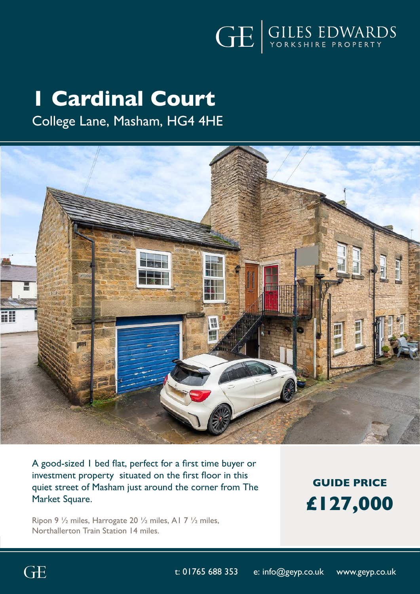

# **1 Cardinal Court**

# College Lane, Masham, HG4 4HE



A good-sized 1 bed flat, perfect for a first time buyer or investment property situated on the first floor in this quiet street of Masham just around the corner from The Market Square.

Ripon 9 ½ miles, Harrogate 20 ½ miles, A1 7 ½ miles, Northallerton Train Station 14 miles.

**GUIDE PRICE £127,000**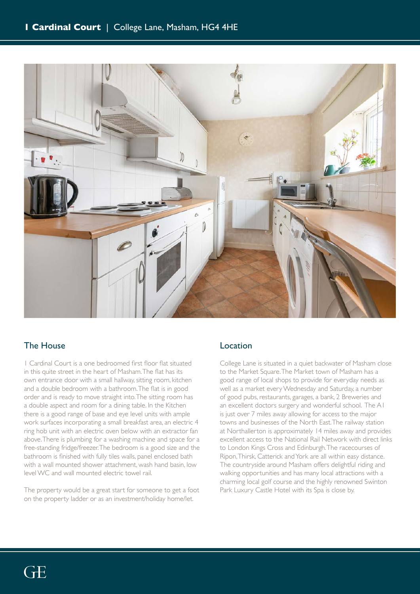

## The House

1 Cardinal Court is a one bedroomed first floor flat situated in this quite street in the heart of Masham. The flat has its own entrance door with a small hallway, sitting room, kitchen and a double bedroom with a bathroom. The flat is in good order and is ready to move straight into. The sitting room has a double aspect and room for a dining table. In the Kitchen there is a good range of base and eye level units with ample work surfaces incorporating a small breakfast area, an electric 4 ring hob unit with an electric oven below with an extractor fan above. There is plumbing for a washing machine and space for a free-standing fridge/freezer. The bedroom is a good size and the bathroom is finished with fully tiles walls, panel enclosed bath with a wall mounted shower attachment, wash hand basin, low level WC and wall mounted electric towel rail.

The property would be a great start for someone to get a foot on the property ladder or as an investment/holiday home/let.

## Location

College Lane is situated in a quiet backwater of Masham close to the Market Square. The Market town of Masham has a good range of local shops to provide for everyday needs as well as a market every Wednesday and Saturday, a number of good pubs, restaurants, garages, a bank, 2 Breweries and an excellent doctors surgery and wonderful school. The A1 is just over 7 miles away allowing for access to the major towns and businesses of the North East. The railway station at Northallerton is approximately 14 miles away and provides excellent access to the National Rail Network with direct links to London Kings Cross and Edinburgh. The racecourses of Ripon, Thirsk, Catterick and York are all within easy distance. The countryside around Masham offers delightful riding and walking opportunities and has many local attractions with a charming local golf course and the highly renowned Swinton Park Luxury Castle Hotel with its Spa is close by.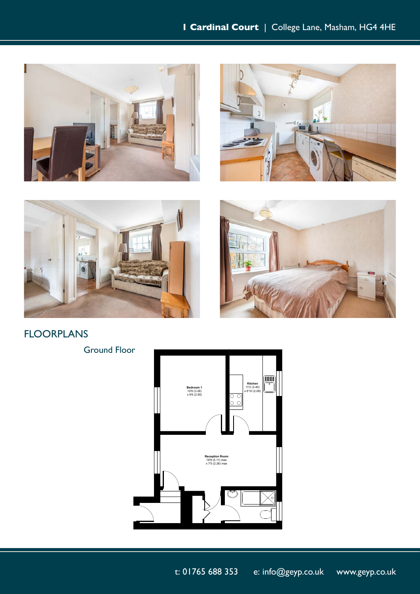







FLOORPLANS

Ground Floor



t: 01765 688 353 e: info@geyp.co.uk www.geyp.co.uk